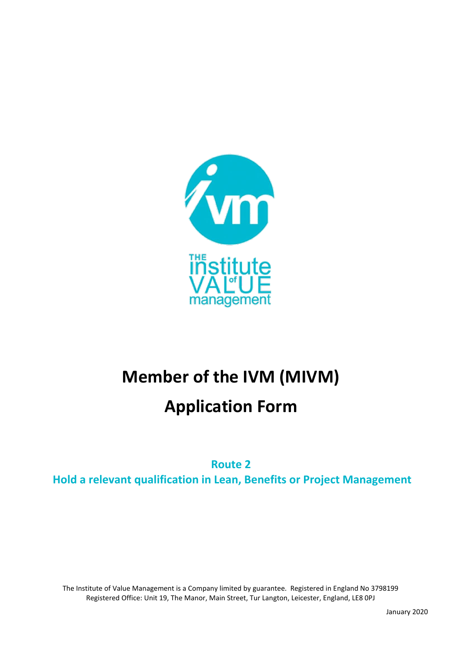

# **Member of the IVM (MIVM)**

# **Application Form**

**Route 2 Hold a relevant qualification in Lean, Benefits or Project Management**

The Institute of Value Management is a Company limited by guarantee. Registered in England No 3798199 Registered Office: Unit 19, The Manor, Main Street, Tur Langton, Leicester, England, LE8 0PJ

January 2020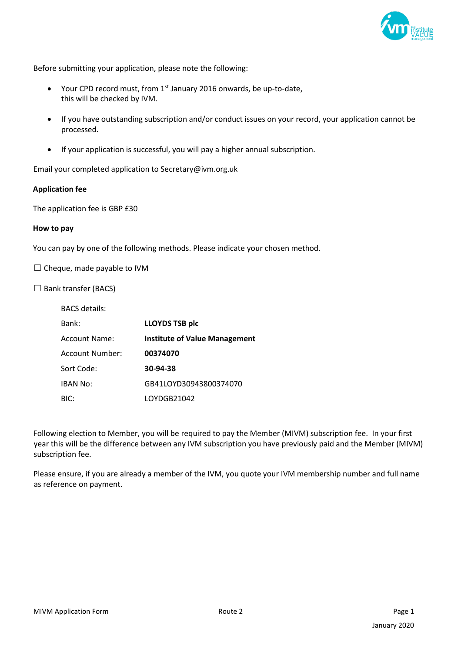

Before submitting your application, please note the following:

- Your CPD record must, from  $1<sup>st</sup>$  January 2016 onwards, be up-to-date, this will be checked by IVM.
- If you have outstanding subscription and/or conduct issues on your record, your application cannot be processed.
- If your application is successful, you will pay a higher annual subscription.

Email your completed application to Secretary@ivm.org.uk

#### **Application fee**

The application fee is GBP £30

#### **How to pay**

You can pay by one of the following methods. Please indicate your chosen method.

 $\Box$  Cheque, made payable to IVM

 $\Box$  Bank transfer (BACS)

| <b>BACS</b> details: |                                      |
|----------------------|--------------------------------------|
| Bank:                | <b>LLOYDS TSB plc</b>                |
| Account Name:        | <b>Institute of Value Management</b> |
| Account Number:      | 00374070                             |
| Sort Code:           | 30-94-38                             |
| <b>IBAN No:</b>      | GB41LOYD30943800374070               |
| BIC:                 | LOYDGB21042                          |

Following election to Member, you will be required to pay the Member (MIVM) subscription fee. In your first year this will be the difference between any IVM subscription you have previously paid and the Member (MIVM) subscription fee.

Please ensure, if you are already a member of the IVM, you quote your IVM membership number and full name as reference on payment.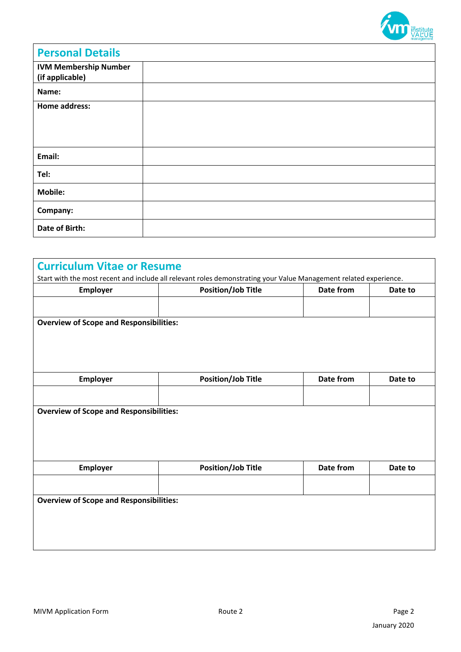

| <b>Personal Details</b>                         |  |
|-------------------------------------------------|--|
| <b>IVM Membership Number</b><br>(if applicable) |  |
| Name:                                           |  |
| Home address:                                   |  |
| Email:                                          |  |
| Tel:                                            |  |
| <b>Mobile:</b>                                  |  |
| Company:                                        |  |
| <b>Date of Birth:</b>                           |  |

|                                                | Start with the most recent and include all relevant roles demonstrating your Value Management related experience. | Date from        |         |
|------------------------------------------------|-------------------------------------------------------------------------------------------------------------------|------------------|---------|
| Employer                                       | <b>Position/Job Title</b>                                                                                         |                  | Date to |
|                                                |                                                                                                                   |                  |         |
| <b>Overview of Scope and Responsibilities:</b> |                                                                                                                   |                  |         |
|                                                |                                                                                                                   |                  |         |
|                                                |                                                                                                                   |                  |         |
|                                                |                                                                                                                   |                  |         |
|                                                |                                                                                                                   |                  |         |
| <b>Employer</b>                                | <b>Position/Job Title</b>                                                                                         | Date from        | Date to |
|                                                |                                                                                                                   |                  |         |
|                                                |                                                                                                                   |                  |         |
| <b>Overview of Scope and Responsibilities:</b> |                                                                                                                   |                  |         |
|                                                |                                                                                                                   |                  |         |
|                                                |                                                                                                                   |                  |         |
|                                                |                                                                                                                   |                  |         |
|                                                |                                                                                                                   |                  |         |
|                                                |                                                                                                                   |                  |         |
| <b>Employer</b>                                | <b>Position/Job Title</b>                                                                                         | <b>Date from</b> | Date to |
|                                                |                                                                                                                   |                  |         |
| <b>Overview of Scope and Responsibilities:</b> |                                                                                                                   |                  |         |
|                                                |                                                                                                                   |                  |         |